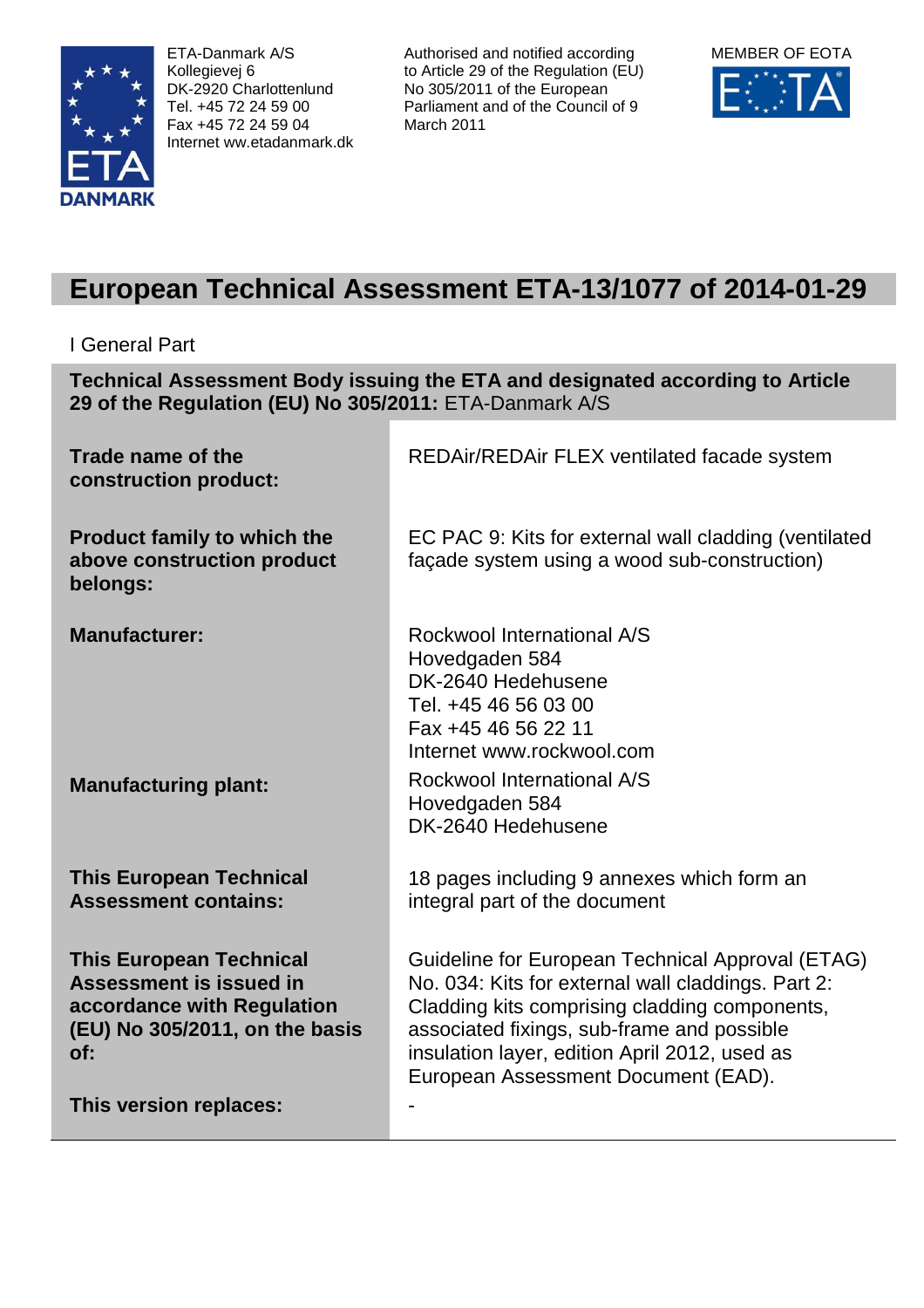

ETA-Danmark A/S Kollegievej 6 DK-2920 Charlottenlund Tel. +45 72 24 59 00 Fax +45 72 24 59 04 Internet ww.etadanmark.dk Authorised and notified according to Article 29 of the Regulation (EU) No 305/2011 of the European Parliament and of the Council of 9 March 2011



# **European Technical Assessment ETA-13/1077 of 2014-01-29**

# I General Part

**Technical Assessment Body issuing the ETA and designated according to Article 29 of the Regulation (EU) No 305/2011:** ETA-Danmark A/S

| Trade name of the<br>construction product:                                                                                                                 | REDAir/REDAir FLEX ventilated facade system                                                                                                                                                                                                                                                   |
|------------------------------------------------------------------------------------------------------------------------------------------------------------|-----------------------------------------------------------------------------------------------------------------------------------------------------------------------------------------------------------------------------------------------------------------------------------------------|
| <b>Product family to which the</b><br>above construction product<br>belongs:                                                                               | EC PAC 9: Kits for external wall cladding (ventilated<br>façade system using a wood sub-construction)                                                                                                                                                                                         |
| <b>Manufacturer:</b>                                                                                                                                       | Rockwool International A/S<br>Hovedgaden 584<br>DK-2640 Hedehusene<br>Tel. +45 46 56 03 00<br>Fax +45 46 56 22 11<br>Internet www.rockwool.com                                                                                                                                                |
| <b>Manufacturing plant:</b>                                                                                                                                | Rockwool International A/S<br>Hovedgaden 584<br>DK-2640 Hedehusene                                                                                                                                                                                                                            |
| <b>This European Technical</b><br><b>Assessment contains:</b>                                                                                              | 18 pages including 9 annexes which form an<br>integral part of the document                                                                                                                                                                                                                   |
| <b>This European Technical</b><br>Assessment is issued in<br>accordance with Regulation<br>(EU) No 305/2011, on the basis<br>of:<br>This version replaces: | Guideline for European Technical Approval (ETAG)<br>No. 034: Kits for external wall claddings. Part 2:<br>Cladding kits comprising cladding components,<br>associated fixings, sub-frame and possible<br>insulation layer, edition April 2012, used as<br>European Assessment Document (EAD). |
|                                                                                                                                                            |                                                                                                                                                                                                                                                                                               |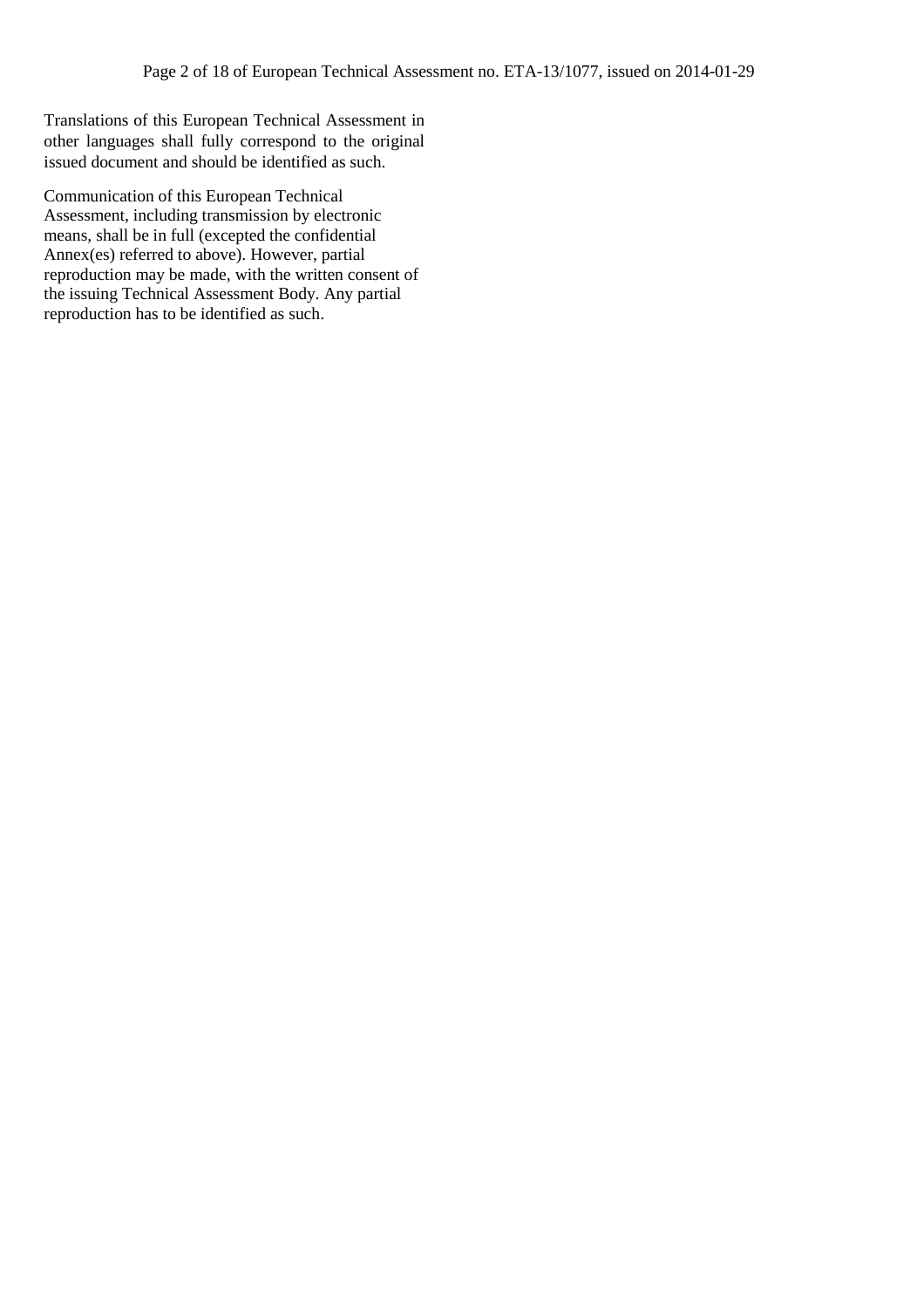Translations of this European Technical Assessment in other languages shall fully correspond to the original issued document and should be identified as such.

Communication of this European Technical Assessment, including transmission by electronic means, shall be in full (excepted the confidential Annex(es) referred to above). However, partial reproduction may be made, with the written consent of the issuing Technical Assessment Body. Any partial reproduction has to be identified as such.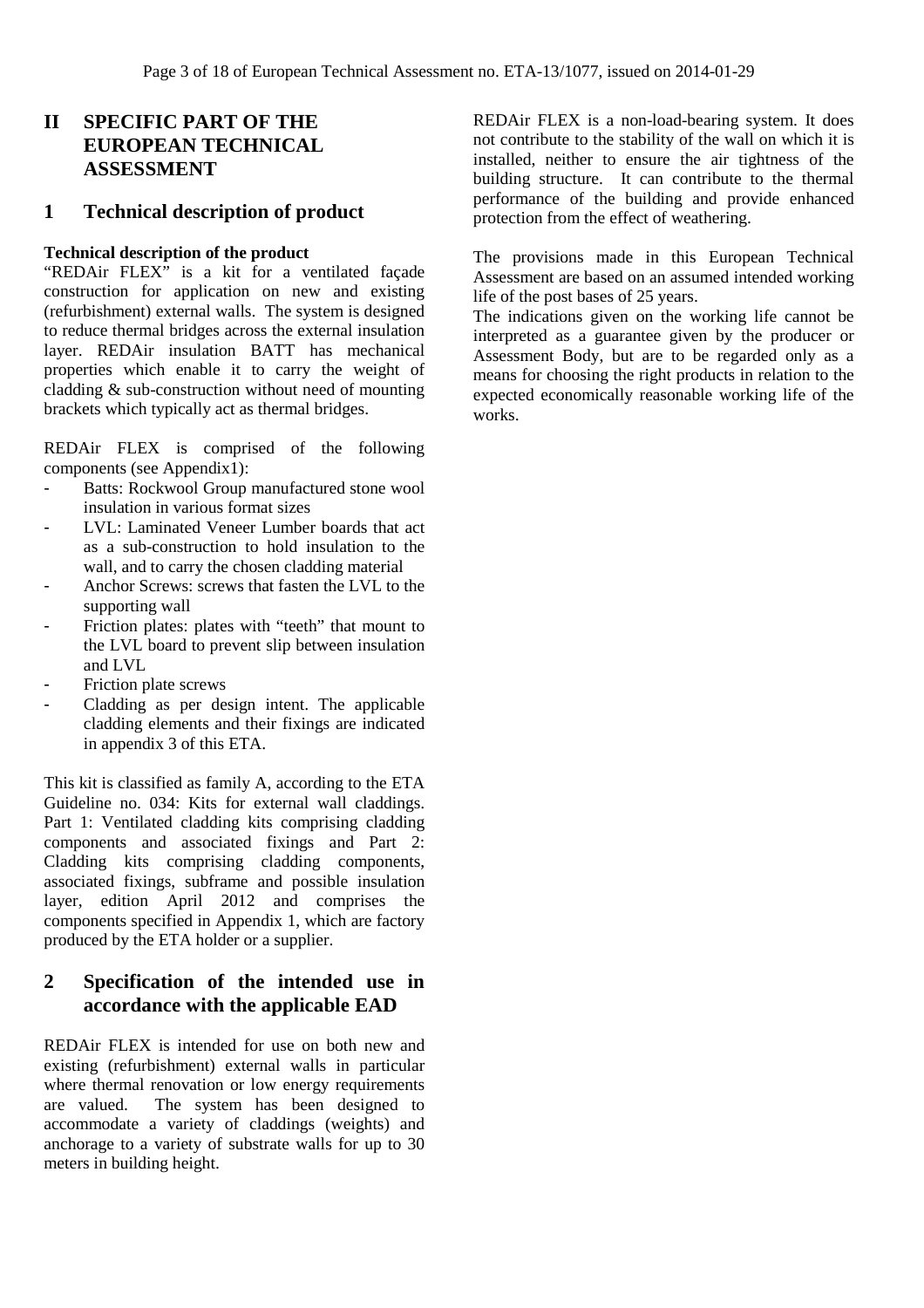# **II SPECIFIC PART OF THE EUROPEAN TECHNICAL ASSESSMENT**

# **1 Technical description of product**

#### **Technical description of the product**

"REDAir FLEX" is a kit for a ventilated façade construction for application on new and existing (refurbishment) external walls. The system is designed to reduce thermal bridges across the external insulation layer. REDAir insulation BATT has mechanical properties which enable it to carry the weight of cladding & sub-construction without need of mounting brackets which typically act as thermal bridges.

REDAir FLEX is comprised of the following components (see Appendix1):

- Batts: Rockwool Group manufactured stone wool insulation in various format sizes
- LVL: Laminated Veneer Lumber boards that act as a sub-construction to hold insulation to the wall, and to carry the chosen cladding material
- Anchor Screws: screws that fasten the LVL to the supporting wall
- Friction plates: plates with "teeth" that mount to the LVL board to prevent slip between insulation and LVL
- Friction plate screws
- Cladding as per design intent. The applicable cladding elements and their fixings are indicated in appendix 3 of this ETA.

This kit is classified as family A, according to the ETA Guideline no. 034: Kits for external wall claddings. Part 1: Ventilated cladding kits comprising cladding components and associated fixings and Part 2: Cladding kits comprising cladding components, associated fixings, subframe and possible insulation layer, edition April 2012 and comprises the components specified in Appendix 1, which are factory produced by the ETA holder or a supplier.

# **2 Specification of the intended use in accordance with the applicable EAD**

REDAir FLEX is intended for use on both new and existing (refurbishment) external walls in particular where thermal renovation or low energy requirements are valued. The system has been designed to accommodate a variety of claddings (weights) and anchorage to a variety of substrate walls for up to 30 meters in building height.

REDAir FLEX is a non-load-bearing system. It does not contribute to the stability of the wall on which it is installed, neither to ensure the air tightness of the building structure. It can contribute to the thermal performance of the building and provide enhanced protection from the effect of weathering.

The provisions made in this European Technical Assessment are based on an assumed intended working life of the post bases of 25 years.

The indications given on the working life cannot be interpreted as a guarantee given by the producer or Assessment Body, but are to be regarded only as a means for choosing the right products in relation to the expected economically reasonable working life of the works.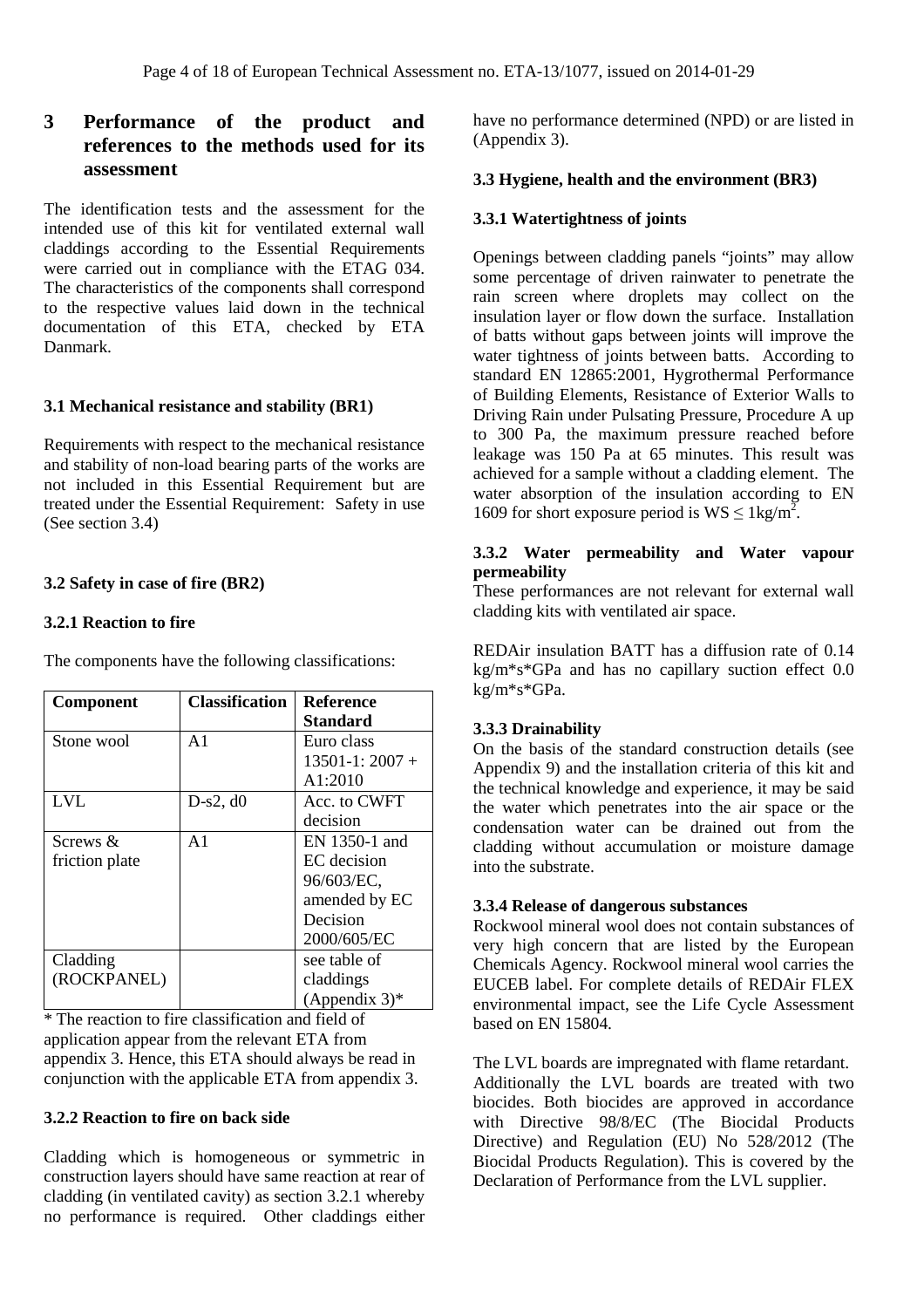# **3 Performance of the product and references to the methods used for its assessment**

The identification tests and the assessment for the intended use of this kit for ventilated external wall claddings according to the Essential Requirements were carried out in compliance with the ETAG 034. The characteristics of the components shall correspond to the respective values laid down in the technical documentation of this ETA, checked by ETA Danmark.

### **3.1 Mechanical resistance and stability (BR1)**

Requirements with respect to the mechanical resistance and stability of non-load bearing parts of the works are not included in this Essential Requirement but are treated under the Essential Requirement: Safety in use (See section 3.4)

### **3.2 Safety in case of fire (BR2)**

#### **3.2.1 Reaction to fire**

The components have the following classifications:

| <b>Component</b> | <b>Classification</b> | <b>Reference</b>   |
|------------------|-----------------------|--------------------|
|                  |                       | Standard           |
| Stone wool       | A <sub>1</sub>        | Euro class         |
|                  |                       | $13501 - 1:2007 +$ |
|                  |                       | A1:2010            |
| <b>LVL</b>       | $D-s2, d0$            | Acc. to CWFT       |
|                  |                       | decision           |
| Screws &         | $\mathsf{A}1$         | EN 1350-1 and      |
| friction plate   |                       | EC decision        |
|                  |                       | 96/603/EC,         |
|                  |                       | amended by EC      |
|                  |                       | Decision           |
|                  |                       | 2000/605/EC        |
| Cladding         |                       | see table of       |
| (ROCKPANEL)      |                       | claddings          |
|                  |                       | (Appendix $3$ )*   |

\* The reaction to fire classification and field of application appear from the relevant ETA from appendix 3. Hence, this ETA should always be read in conjunction with the applicable ETA from appendix 3.

### **3.2.2 Reaction to fire on back side**

Cladding which is homogeneous or symmetric in construction layers should have same reaction at rear of cladding (in ventilated cavity) as section 3.2.1 whereby no performance is required. Other claddings either have no performance determined (NPD) or are listed in (Appendix 3).

#### **3.3 Hygiene, health and the environment (BR3)**

#### **3.3.1 Watertightness of joints**

Openings between cladding panels "joints" may allow some percentage of driven rainwater to penetrate the rain screen where droplets may collect on the insulation layer or flow down the surface. Installation of batts without gaps between joints will improve the water tightness of joints between batts. According to standard EN 12865:2001, Hygrothermal Performance of Building Elements, Resistance of Exterior Walls to Driving Rain under Pulsating Pressure, Procedure A up to 300 Pa, the maximum pressure reached before leakage was 150 Pa at 65 minutes. This result was achieved for a sample without a cladding element. The water absorption of the insulation according to EN 1609 for short exposure period is  $WS \leq 1 \text{kg/m}^2$ .

#### **3.3.2 Water permeability and Water vapour permeability**

These performances are not relevant for external wall cladding kits with ventilated air space.

REDAir insulation BATT has a diffusion rate of 0.14 kg/m\*s\*GPa and has no capillary suction effect 0.0 kg/m\*s\*GPa.

# **3.3.3 Drainability**

On the basis of the standard construction details (see Appendix 9) and the installation criteria of this kit and the technical knowledge and experience, it may be said the water which penetrates into the air space or the condensation water can be drained out from the cladding without accumulation or moisture damage into the substrate.

#### **3.3.4 Release of dangerous substances**

Rockwool mineral wool does not contain substances of very high concern that are listed by the European Chemicals Agency. Rockwool mineral wool carries the EUCEB label. For complete details of REDAir FLEX environmental impact, see the Life Cycle Assessment based on EN 15804.

The LVL boards are impregnated with flame retardant. Additionally the LVL boards are treated with two biocides. Both biocides are approved in accordance with Directive 98/8/EC (The Biocidal Products Directive) and Regulation (EU) No 528/2012 (The Biocidal Products Regulation). This is covered by the Declaration of Performance from the LVL supplier.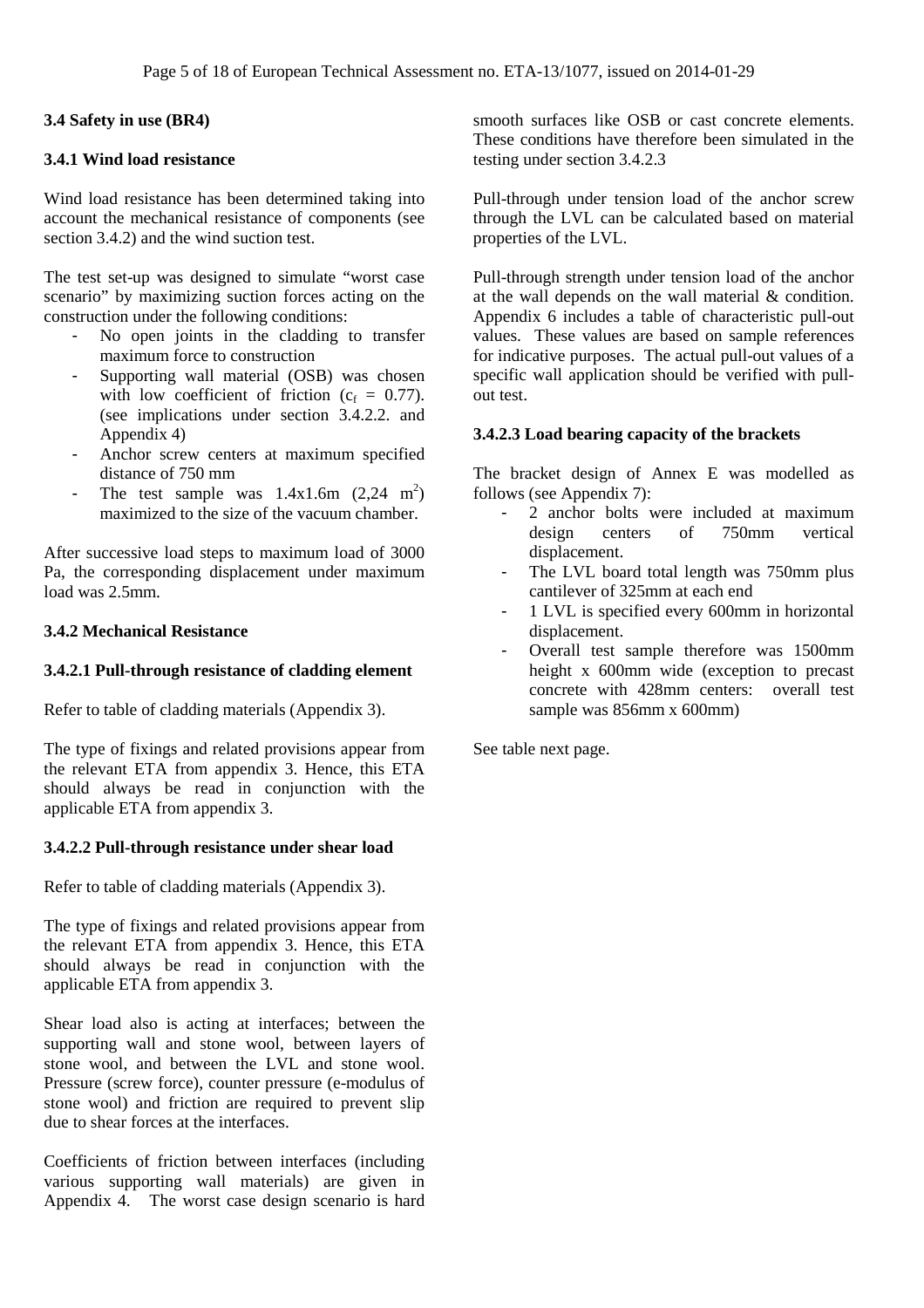#### **3.4 Safety in use (BR4)**

#### **3.4.1 Wind load resistance**

Wind load resistance has been determined taking into account the mechanical resistance of components (see section 3.4.2) and the wind suction test.

The test set-up was designed to simulate "worst case scenario" by maximizing suction forces acting on the construction under the following conditions:

- No open joints in the cladding to transfer maximum force to construction
- Supporting wall material (OSB) was chosen with low coefficient of friction ( $c_f = 0.77$ ). (see implications under section 3.4.2.2. and Appendix 4)
- Anchor screw centers at maximum specified distance of 750 mm
- The test sample was  $1.4 \times 1.6$ m  $(2,24 \text{ m}^2)$ maximized to the size of the vacuum chamber.

After successive load steps to maximum load of 3000 Pa, the corresponding displacement under maximum load was 2.5mm.

#### **3.4.2 Mechanical Resistance**

#### **3.4.2.1 Pull-through resistance of cladding element**

Refer to table of cladding materials (Appendix 3).

The type of fixings and related provisions appear from the relevant ETA from appendix 3. Hence, this ETA should always be read in conjunction with the applicable ETA from appendix 3.

#### **3.4.2.2 Pull-through resistance under shear load**

Refer to table of cladding materials (Appendix 3).

The type of fixings and related provisions appear from the relevant ETA from appendix 3. Hence, this ETA should always be read in conjunction with the applicable ETA from appendix 3.

Shear load also is acting at interfaces; between the supporting wall and stone wool, between layers of stone wool, and between the LVL and stone wool. Pressure (screw force), counter pressure (e-modulus of stone wool) and friction are required to prevent slip due to shear forces at the interfaces.

Coefficients of friction between interfaces (including various supporting wall materials) are given in Appendix 4. The worst case design scenario is hard

smooth surfaces like OSB or cast concrete elements. These conditions have therefore been simulated in the testing under section 3.4.2.3

Pull-through under tension load of the anchor screw through the LVL can be calculated based on material properties of the LVL.

Pull-through strength under tension load of the anchor at the wall depends on the wall material & condition. Appendix 6 includes a table of characteristic pull-out values. These values are based on sample references for indicative purposes. The actual pull-out values of a specific wall application should be verified with pullout test.

#### **3.4.2.3 Load bearing capacity of the brackets**

The bracket design of Annex E was modelled as follows (see Appendix 7):

- 2 anchor bolts were included at maximum design centers of 750mm vertical displacement.
- The LVL board total length was 750mm plus cantilever of 325mm at each end
- 1 LVL is specified every 600mm in horizontal displacement.
- Overall test sample therefore was 1500mm height x 600mm wide (exception to precast concrete with 428mm centers: overall test sample was 856mm x 600mm)

See table next page.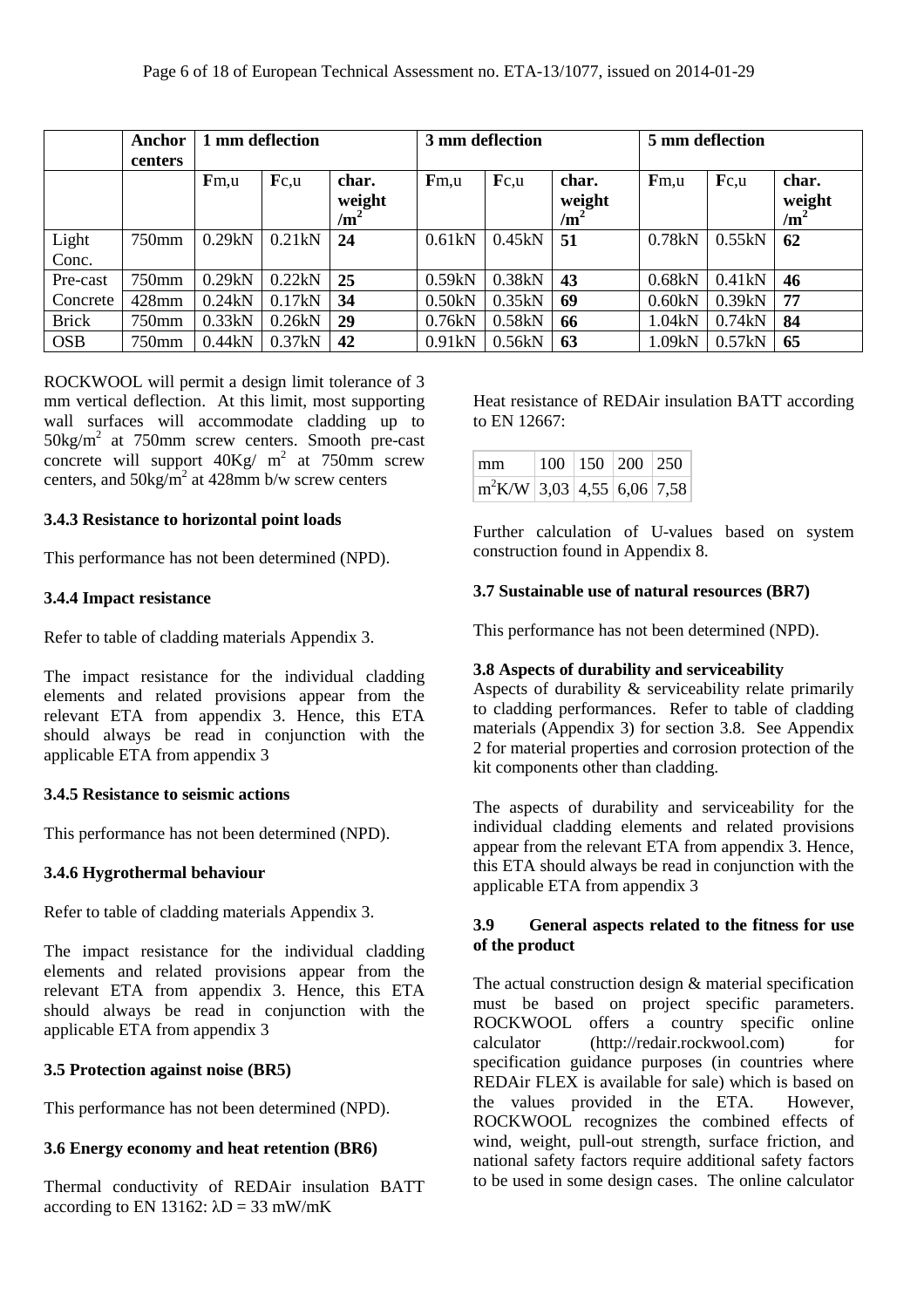|                | Anchor<br>centers | 1 mm deflection |        | 3 mm deflection                    |        | 5 mm deflection |                                    |        |        |                                    |
|----------------|-------------------|-----------------|--------|------------------------------------|--------|-----------------|------------------------------------|--------|--------|------------------------------------|
|                |                   | Fm, u           | Fc.u   | char.<br>weight<br>/m <sup>2</sup> | Fm, u  | Fc.u            | char.<br>weight<br>/m <sup>2</sup> | Fm, u  | Fc.u   | char.<br>weight<br>/m <sup>2</sup> |
| Light<br>Conc. | 750mm             | 0.29kN          | 0.21kN | 24                                 | 0.61kN | 0.45kN          | 51                                 | 0.78kN | 0.55kN | 62                                 |
| Pre-cast       | 750mm             | 0.29kN          | 0.22kN | 25                                 | 0.59kN | 0.38kN          | 43                                 | 0.68kN | 0.41kN | 46                                 |
| Concrete       | $428$ mm          | 0.24kN          | 0.17kN | 34                                 | 0.50kN | 0.35kN          | 69                                 | 0.60kN | 0.39kN | 77                                 |
| <b>Brick</b>   | 750mm             | 0.33kN          | 0.26kN | 29                                 | 0.76kN | 0.58kN          | 66                                 | 1.04kN | 0.74kN | 84                                 |
| <b>OSB</b>     | 750mm             | 0.44kN          | 0.37kN | 42                                 | 0.91kN | 0.56kN          | 63                                 | 1.09kN | 0.57kN | 65                                 |

ROCKWOOL will permit a design limit tolerance of 3 mm vertical deflection. At this limit, most supporting wall surfaces will accommodate cladding up to 50kg/m<sup>2</sup> at 750mm screw centers. Smooth pre-cast concrete will support  $40\text{Kg}/\text{m}^2$  at 750mm screw centers, and  $50\text{kg/m}^2$  at 428mm b/w screw centers

#### **3.4.3 Resistance to horizontal point loads**

This performance has not been determined (NPD).

#### **3.4.4 Impact resistance**

Refer to table of cladding materials Appendix 3.

The impact resistance for the individual cladding elements and related provisions appear from the relevant ETA from appendix 3. Hence, this ETA should always be read in conjunction with the applicable ETA from appendix 3

#### **3.4.5 Resistance to seismic actions**

This performance has not been determined (NPD).

#### **3.4.6 Hygrothermal behaviour**

Refer to table of cladding materials Appendix 3.

The impact resistance for the individual cladding elements and related provisions appear from the relevant ETA from appendix 3. Hence, this ETA should always be read in conjunction with the applicable ETA from appendix 3

#### **3.5 Protection against noise (BR5)**

This performance has not been determined (NPD).

# **3.6 Energy economy and heat retention (BR6)**

Thermal conductivity of REDAir insulation BATT according to EN 13162:  $\lambda$ D = 33 mW/mK

Heat resistance of REDAir insulation BATT according to EN 12667:

| mm                                                  | $100$   150   200   250 |  |
|-----------------------------------------------------|-------------------------|--|
| $\lfloor m^2 K/W \rfloor$ 3,03   4,55   6,06   7,58 |                         |  |

Further calculation of U-values based on system construction found in Appendix 8.

### **3.7 Sustainable use of natural resources (BR7)**

This performance has not been determined (NPD).

# **3.8 Aspects of durability and serviceability**

Aspects of durability  $\&$  serviceability relate primarily to cladding performances. Refer to table of cladding materials (Appendix 3) for section 3.8. See Appendix 2 for material properties and corrosion protection of the kit components other than cladding.

The aspects of durability and serviceability for the individual cladding elements and related provisions appear from the relevant ETA from appendix 3. Hence, this ETA should always be read in conjunction with the applicable ETA from appendix 3

### **3.9 General aspects related to the fitness for use of the product**

The actual construction design & material specification must be based on project specific parameters. ROCKWOOL offers a country specific online calculator (http://redair.rockwool.com) for specification guidance purposes (in countries where REDAir FLEX is available for sale) which is based on the values provided in the ETA. However, ROCKWOOL recognizes the combined effects of wind, weight, pull-out strength, surface friction, and national safety factors require additional safety factors to be used in some design cases. The online calculator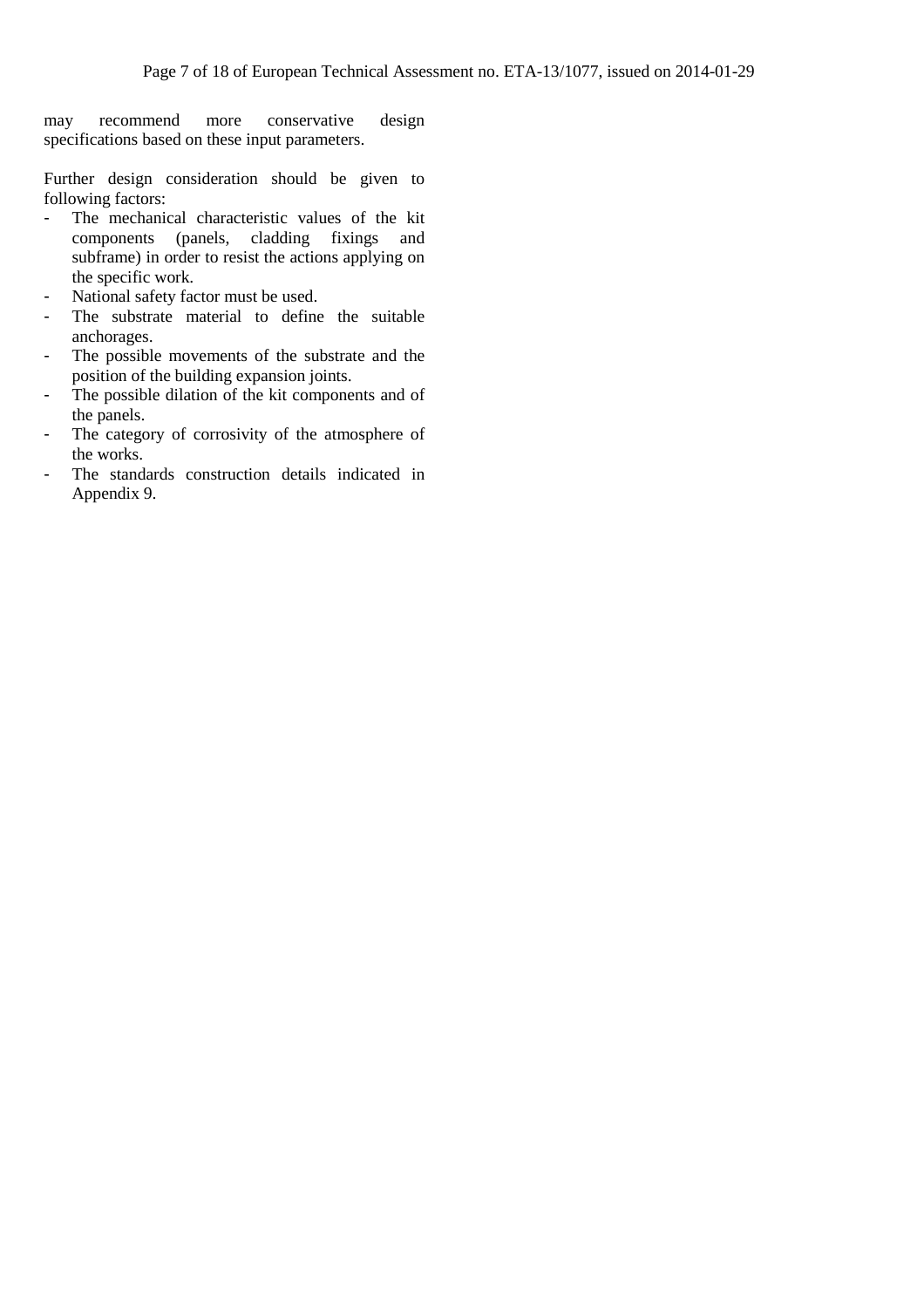may recommend more conservative design specifications based on these input parameters.

Further design consideration should be given to following factors:

- The mechanical characteristic values of the kit components (panels, cladding fixings and subframe) in order to resist the actions applying on the specific work.
- National safety factor must be used.
- The substrate material to define the suitable anchorages.
- The possible movements of the substrate and the position of the building expansion joints.
- The possible dilation of the kit components and of the panels.
- The category of corrosivity of the atmosphere of the works.
- The standards construction details indicated in Appendix 9.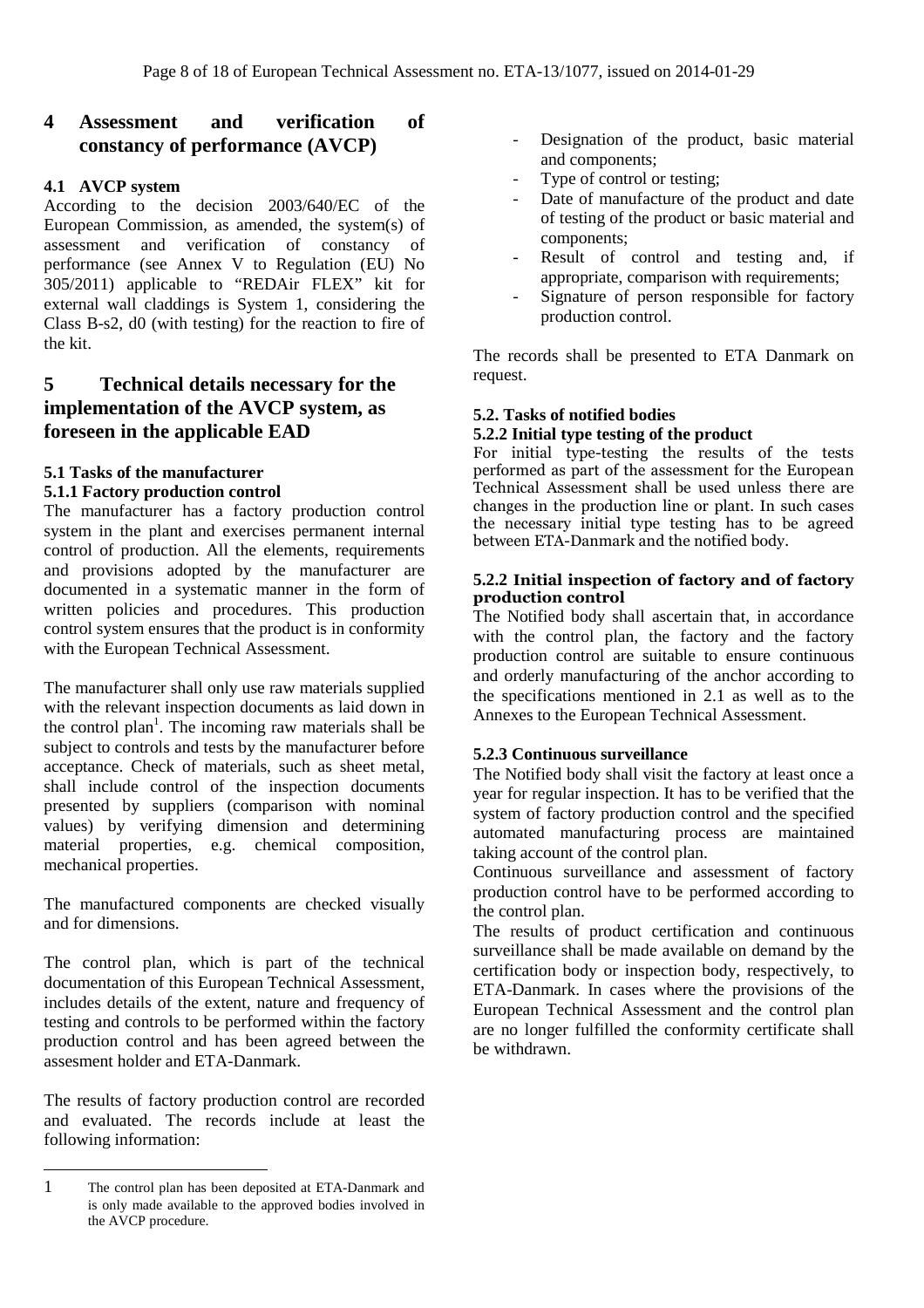# **4 Assessment and verification of constancy of performance (AVCP)**

#### **4.1 AVCP system**

According to the decision 2003/640/EC of the European Commission, as amended, the system(s) of assessment and verification of constancy of performance (see Annex V to Regulation (EU) No 305/2011) applicable to "REDAir FLEX" kit for external wall claddings is System 1, considering the Class B-s2, d0 (with testing) for the reaction to fire of the kit.

# **5 Technical details necessary for the implementation of the AVCP system, as foreseen in the applicable EAD**

#### **5.1 Tasks of the manufacturer 5.1.1 Factory production control**

The manufacturer has a factory production control system in the plant and exercises permanent internal control of production. All the elements, requirements and provisions adopted by the manufacturer are documented in a systematic manner in the form of written policies and procedures. This production control system ensures that the product is in conformity with the European Technical Assessment.

The manufacturer shall only use raw materials supplied with the relevant inspection documents as laid down in the control plan<sup>1</sup>. The incoming raw materials shall be subject to controls and tests by the manufacturer before acceptance. Check of materials, such as sheet metal, shall include control of the inspection documents presented by suppliers (comparison with nominal values) by verifying dimension and determining material properties, e.g. chemical composition, mechanical properties.

The manufactured components are checked visually and for dimensions.

The control plan, which is part of the technical documentation of this European Technical Assessment, includes details of the extent, nature and frequency of testing and controls to be performed within the factory production control and has been agreed between the assesment holder and ETA-Danmark.

The results of factory production control are recorded and evaluated. The records include at least the following information:

 $\overline{a}$ 

- Designation of the product, basic material and components;
- Type of control or testing;
- Date of manufacture of the product and date of testing of the product or basic material and components;
- Result of control and testing and, if appropriate, comparison with requirements;
- Signature of person responsible for factory production control.

The records shall be presented to ETA Danmark on request.

### **5.2. Tasks of notified bodies**

#### **5.2.2 Initial type testing of the product**

For initial type-testing the results of the tests performed as part of the assessment for the European Technical Assessment shall be used unless there are changes in the production line or plant. In such cases the necessary initial type testing has to be agreed between ETA-Danmark and the notified body.

#### **5.2.2 Initial inspection of factory and of factory production control**

The Notified body shall ascertain that, in accordance with the control plan, the factory and the factory production control are suitable to ensure continuous and orderly manufacturing of the anchor according to the specifications mentioned in 2.1 as well as to the Annexes to the European Technical Assessment.

#### **5.2.3 Continuous surveillance**

The Notified body shall visit the factory at least once a year for regular inspection. It has to be verified that the system of factory production control and the specified automated manufacturing process are maintained taking account of the control plan.

Continuous surveillance and assessment of factory production control have to be performed according to the control plan.

The results of product certification and continuous surveillance shall be made available on demand by the certification body or inspection body, respectively, to ETA-Danmark. In cases where the provisions of the European Technical Assessment and the control plan are no longer fulfilled the conformity certificate shall be withdrawn.

<sup>1</sup> The control plan has been deposited at ETA-Danmark and is only made available to the approved bodies involved in the AVCP procedure.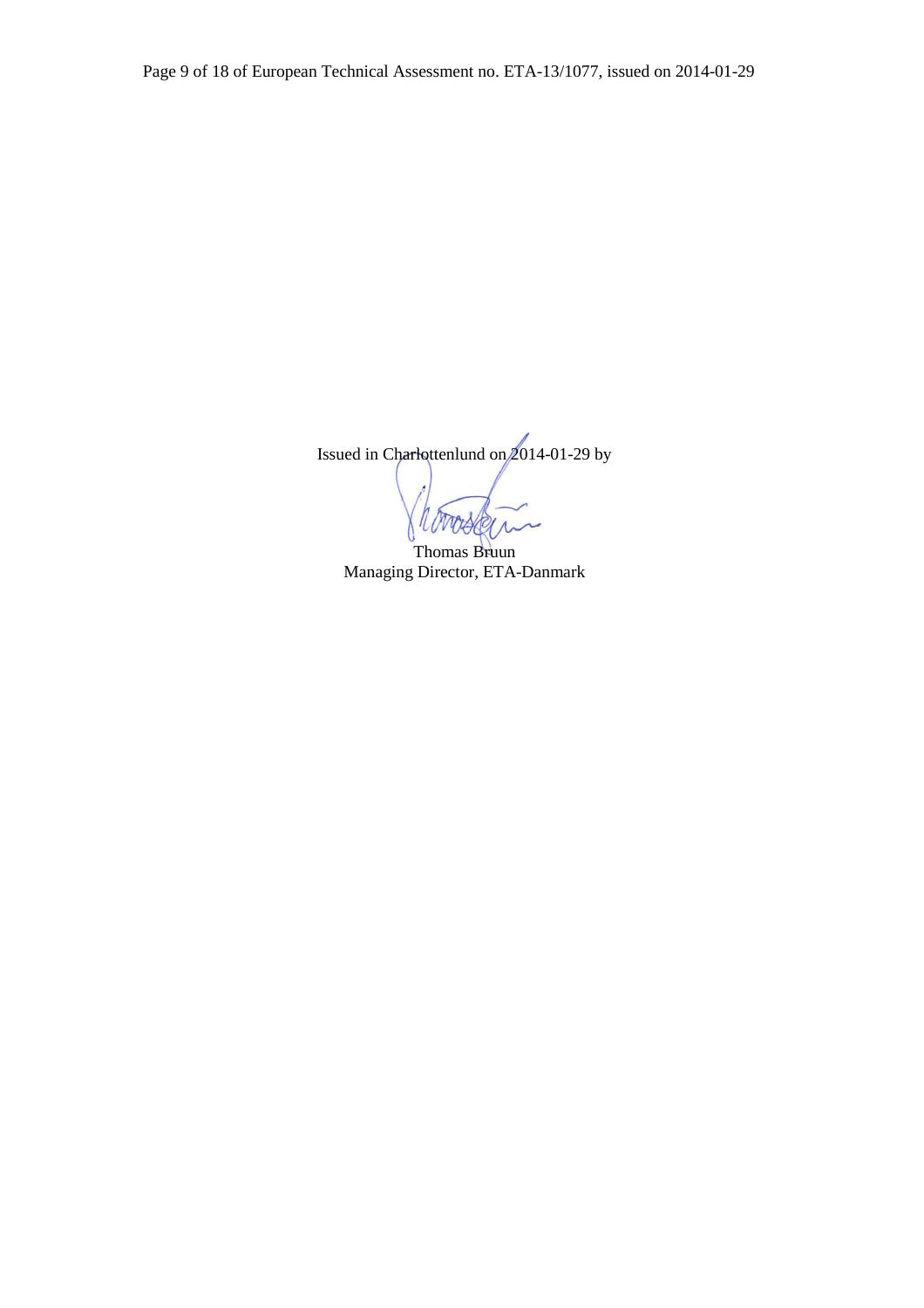Issued in Charlottenlund on 2014-01-29 by

Thomas Bruun Managing Director, ETA-Danmark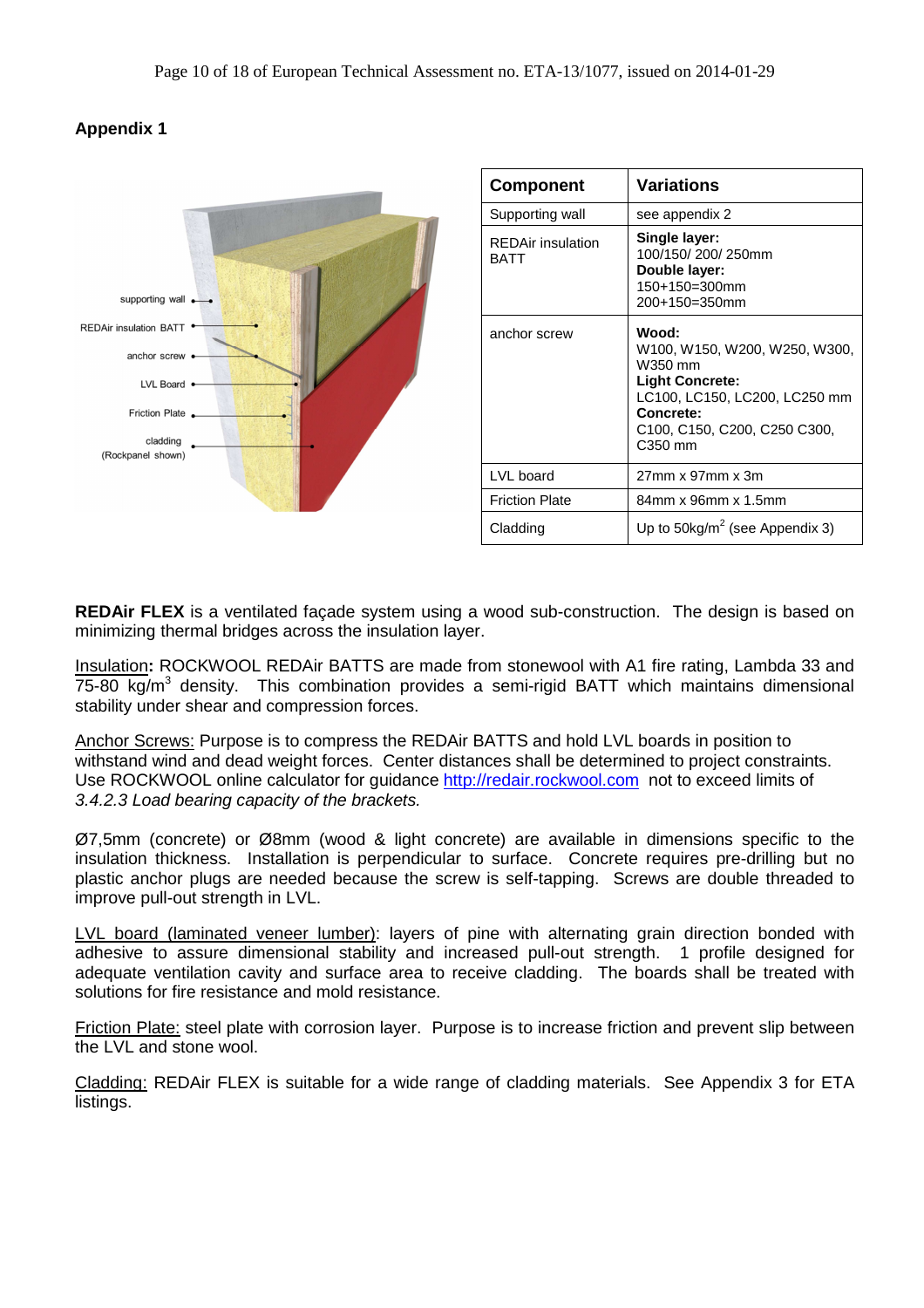

| <b>Component</b>                        | Variations                                                                                                                                                                                                                           |
|-----------------------------------------|--------------------------------------------------------------------------------------------------------------------------------------------------------------------------------------------------------------------------------------|
| Supporting wall                         | see appendix 2                                                                                                                                                                                                                       |
| <b>REDAir insulation</b><br><b>BATT</b> | Single layer:<br>100/150/200/250mm<br>Double layer:<br>150+150=300mm<br>200+150=350mm                                                                                                                                                |
| anchor screw                            | Wood:<br>W100, W150, W200, W250, W300,<br>W350 mm<br><b>Light Concrete:</b><br>LC100, LC150, LC200, LC250 mm<br>Concrete:<br>C <sub>100</sub> , C <sub>150</sub> , C <sub>200</sub> , C <sub>250</sub> C <sub>300</sub> ,<br>C350 mm |
| LVL board                               | 27mm x 97mm x 3m                                                                                                                                                                                                                     |
| <b>Friction Plate</b>                   | 84mm x 96mm x 1.5mm                                                                                                                                                                                                                  |
| Cladding                                | Up to $50\text{kg/m}^2$ (see Appendix 3)                                                                                                                                                                                             |

**REDAir FLEX** is a ventilated façade system using a wood sub-construction. The design is based on minimizing thermal bridges across the insulation layer.

Insulation**:** ROCKWOOL REDAir BATTS are made from stonewool with A1 fire rating, Lambda 33 and 75-80 kg/m<sup>3</sup> density. This combination provides a semi-rigid BATT which maintains dimensional stability under shear and compression forces.

Anchor Screws: Purpose is to compress the REDAir BATTS and hold LVL boards in position to withstand wind and dead weight forces. Center distances shall be determined to project constraints. Use ROCKWOOL online calculator for guidance http://redair.rockwool.com not to exceed limits of 3.4.2.3 Load bearing capacity of the brackets.

Ø7,5mm (concrete) or Ø8mm (wood & light concrete) are available in dimensions specific to the insulation thickness. Installation is perpendicular to surface. Concrete requires pre-drilling but no plastic anchor plugs are needed because the screw is self-tapping. Screws are double threaded to improve pull-out strength in LVL.

LVL board (laminated veneer lumber): layers of pine with alternating grain direction bonded with adhesive to assure dimensional stability and increased pull-out strength. 1 profile designed for adequate ventilation cavity and surface area to receive cladding. The boards shall be treated with solutions for fire resistance and mold resistance.

Friction Plate: steel plate with corrosion layer. Purpose is to increase friction and prevent slip between the LVL and stone wool.

Cladding: REDAir FLEX is suitable for a wide range of cladding materials. See Appendix 3 for ETA listings.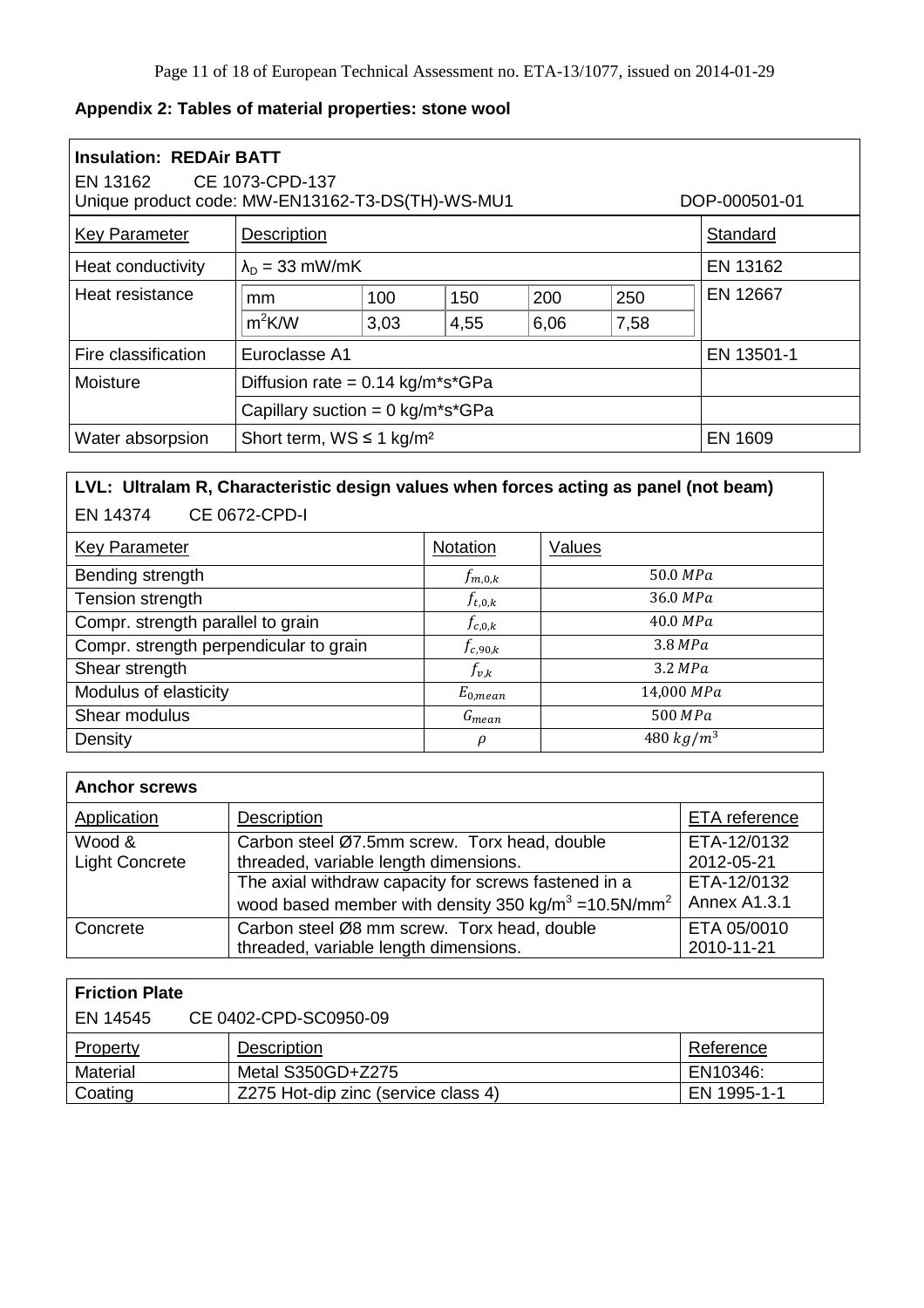# **Appendix 2: Tables of material properties: stone wool**

| <b>Insulation: REDAir BATT</b><br>EN 13162 CE 1073-CPD-137<br>Unique product code: MW-EN13162-T3-DS(TH)-WS-MU1<br>DOP-000501-01 |                                              |      |      |      |      |                |
|---------------------------------------------------------------------------------------------------------------------------------|----------------------------------------------|------|------|------|------|----------------|
| <b>Key Parameter</b>                                                                                                            | Description<br>Standard                      |      |      |      |      |                |
| Heat conductivity                                                                                                               | EN 13162<br>$\lambda_{D}$ = 33 mW/mK         |      |      |      |      |                |
| Heat resistance                                                                                                                 | mm                                           | 100  | 150  | 200  | 250  | EN 12667       |
|                                                                                                                                 | $m^2$ K/W                                    | 3,03 | 4,55 | 6,06 | 7,58 |                |
| Fire classification                                                                                                             | Euroclasse A1<br>EN 13501-1                  |      |      |      |      |                |
| Moisture                                                                                                                        | Diffusion rate = $0.14$ kg/m*s*GPa           |      |      |      |      |                |
|                                                                                                                                 | Capillary suction = $0 \text{ kg/m}^*s^*GPa$ |      |      |      |      |                |
| Water absorpsion                                                                                                                | Short term, $WS \le 1$ kg/m <sup>2</sup>     |      |      |      |      | <b>EN 1609</b> |

# **LVL: Ultralam R, Characteristic design values when forces acting as panel (not beam)**  EN 14374 CE 0672-CPD-I

| <b>Key Parameter</b>                   | Notation     | Values       |
|----------------------------------------|--------------|--------------|
| Bending strength                       | $f_{m,0,k}$  | 50.0 MPa     |
| Tension strength                       | $f_{t,0,k}$  | 36.0 MPa     |
| Compr. strength parallel to grain      | $f_{c,0,k}$  | 40.0 MPa     |
| Compr. strength perpendicular to grain | $f_{c,90,k}$ | 3.8 MPa      |
| Shear strength                         | $f_{v,k}$    | 3.2 MPa      |
| Modulus of elasticity                  | $E_{0,mean}$ | 14,000 MPa   |
| Shear modulus                          | $G_{mean}$   | 500 MPa      |
| Density                                | $\rho$       | 480 $kg/m^3$ |

| <b>Anchor screws</b>  |                                                                              |               |
|-----------------------|------------------------------------------------------------------------------|---------------|
| Application           | Description                                                                  | ETA reference |
| Wood &                | Carbon steel Ø7.5mm screw. Torx head, double                                 | ETA-12/0132   |
| <b>Light Concrete</b> | threaded, variable length dimensions.                                        | 2012-05-21    |
|                       | The axial withdraw capacity for screws fastened in a                         | ETA-12/0132   |
|                       | wood based member with density 350 kg/m <sup>3</sup> = 10.5N/mm <sup>2</sup> | Annex A1.3.1  |
| Concrete              | Carbon steel Ø8 mm screw. Torx head, double                                  | ETA 05/0010   |
|                       | threaded, variable length dimensions.                                        | 2010-11-21    |

| <b>Friction Plate</b>             |                                     |             |  |  |
|-----------------------------------|-------------------------------------|-------------|--|--|
| CE 0402-CPD-SC0950-09<br>EN 14545 |                                     |             |  |  |
| Property                          | Description                         | Reference   |  |  |
| Material                          | Metal S350GD+Z275                   | EN10346:    |  |  |
| Coating                           | Z275 Hot-dip zinc (service class 4) | EN 1995-1-1 |  |  |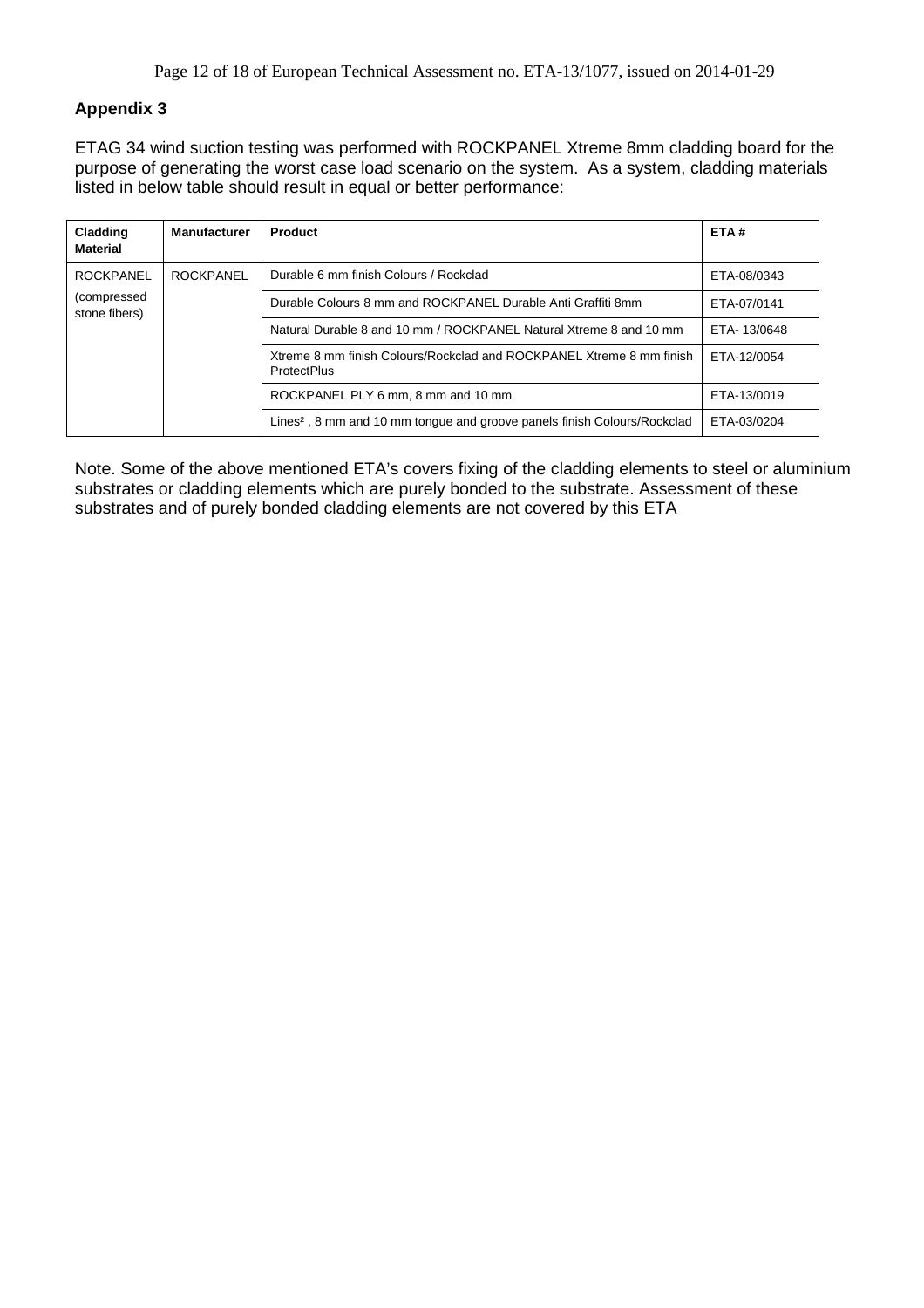ETAG 34 wind suction testing was performed with ROCKPANEL Xtreme 8mm cladding board for the purpose of generating the worst case load scenario on the system. As a system, cladding materials listed in below table should result in equal or better performance:

| Cladding<br><b>Material</b>  | <b>Manufacturer</b> | <b>Product</b>                                                                             | ETA#        |
|------------------------------|---------------------|--------------------------------------------------------------------------------------------|-------------|
| <b>ROCKPANEL</b>             | <b>ROCKPANEL</b>    | Durable 6 mm finish Colours / Rockclad                                                     | ETA-08/0343 |
| (compressed<br>stone fibers) |                     | Durable Colours 8 mm and ROCKPANEL Durable Anti Graffiti 8mm                               | ETA-07/0141 |
|                              |                     | Natural Durable 8 and 10 mm / ROCKPANEL Natural Xtreme 8 and 10 mm                         | ETA-13/0648 |
|                              |                     | Xtreme 8 mm finish Colours/Rockclad and ROCKPANEL Xtreme 8 mm finish<br><b>ProtectPlus</b> | ETA-12/0054 |
|                              |                     | ROCKPANEL PLY 6 mm, 8 mm and 10 mm                                                         | ETA-13/0019 |
|                              |                     | Lines <sup>2</sup> , 8 mm and 10 mm tongue and groove panels finish Colours/Rockclad       | ETA-03/0204 |

Note. Some of the above mentioned ETA's covers fixing of the cladding elements to steel or aluminium substrates or cladding elements which are purely bonded to the substrate. Assessment of these substrates and of purely bonded cladding elements are not covered by this ETA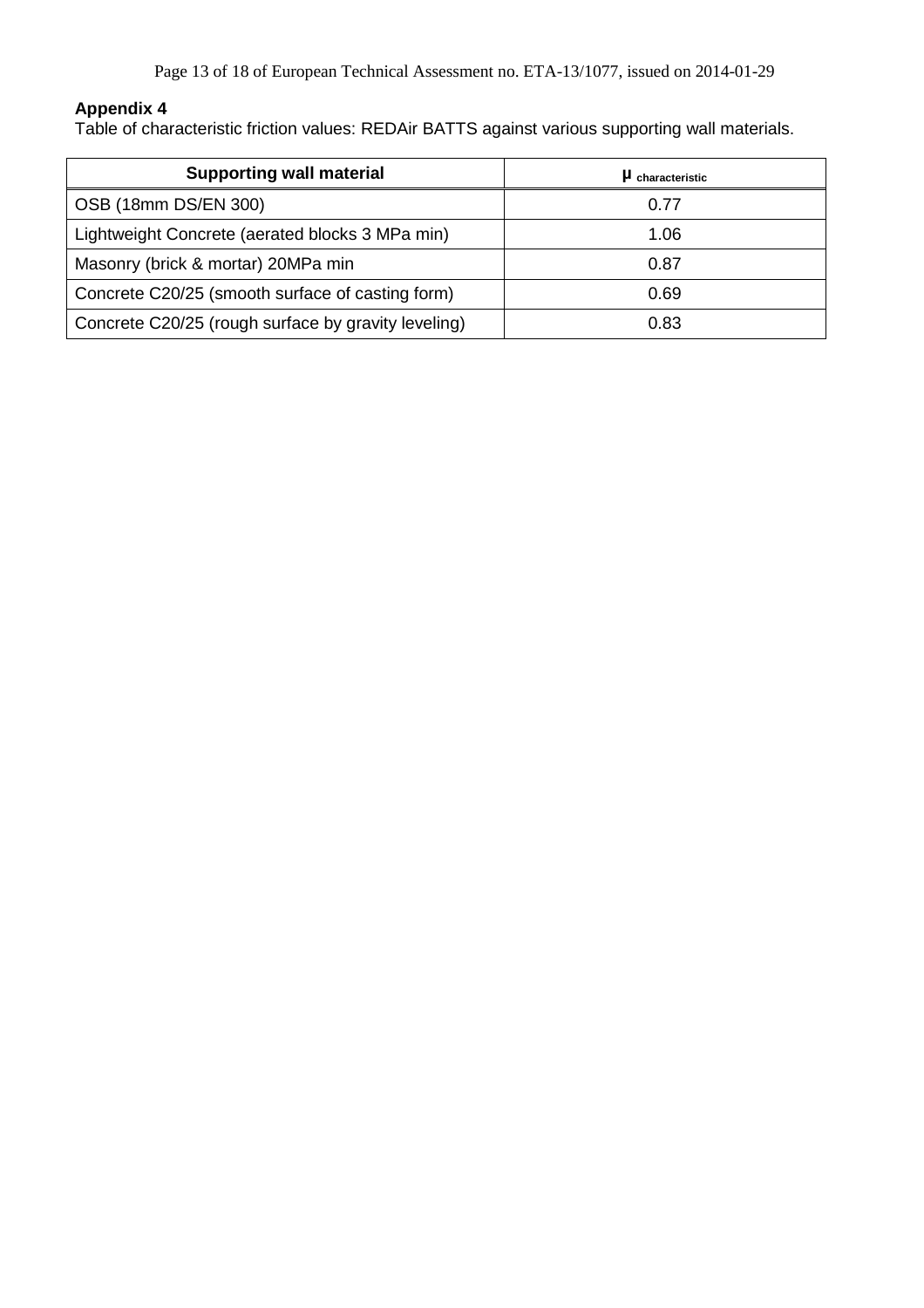Table of characteristic friction values: REDAir BATTS against various supporting wall materials.

| <b>Supporting wall material</b>                     | $\mu$ characteristic |
|-----------------------------------------------------|----------------------|
| OSB (18mm DS/EN 300)                                | 0.77                 |
| Lightweight Concrete (aerated blocks 3 MPa min)     | 1.06                 |
| Masonry (brick & mortar) 20MPa min                  | 0.87                 |
| Concrete C20/25 (smooth surface of casting form)    | 0.69                 |
| Concrete C20/25 (rough surface by gravity leveling) | 0.83                 |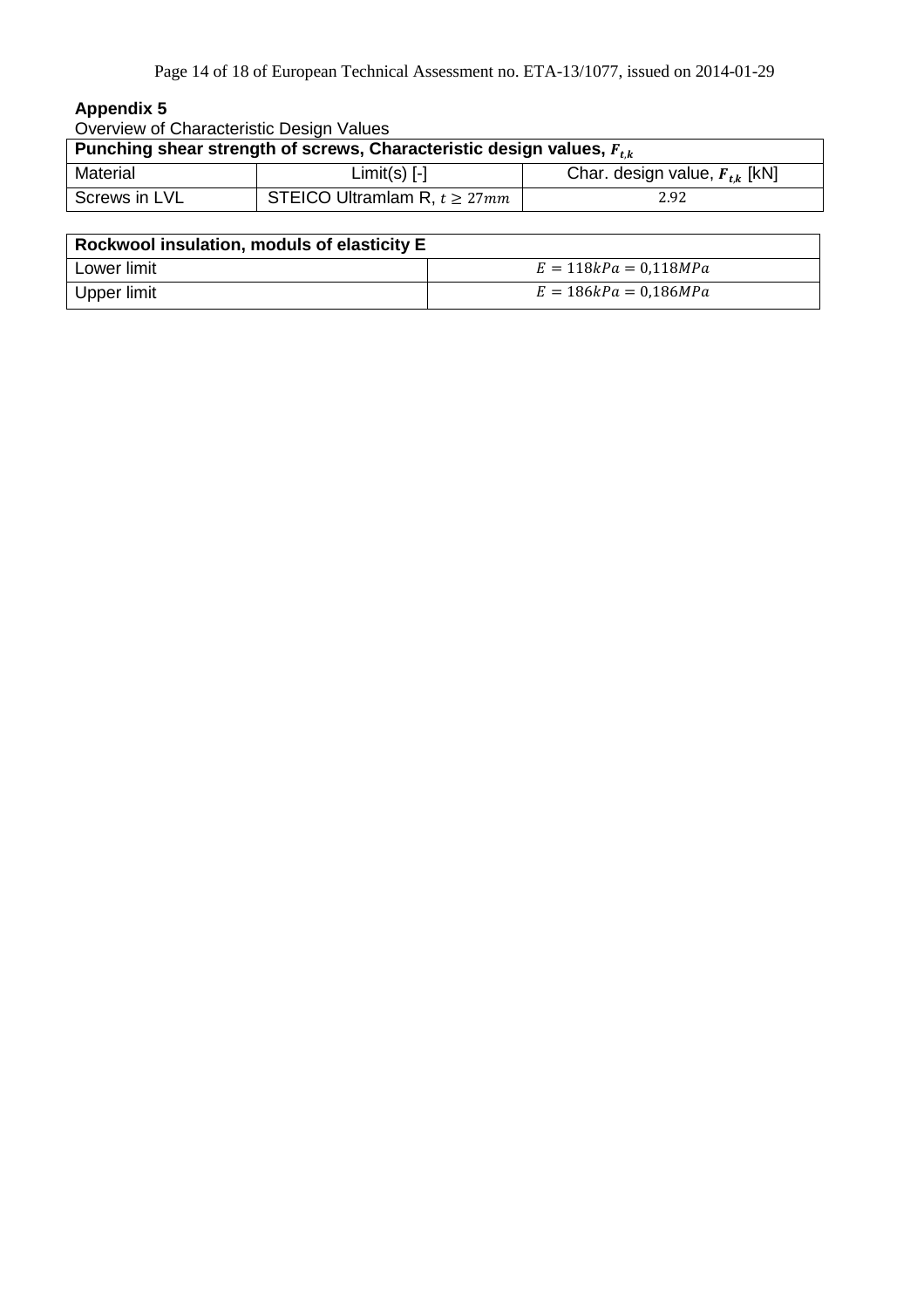| Overview of Characteristic Design Values                                  |                                    |                                   |  |  |
|---------------------------------------------------------------------------|------------------------------------|-----------------------------------|--|--|
| Punching shear strength of screws, Characteristic design values, $F_{ik}$ |                                    |                                   |  |  |
| Material                                                                  | $Limit(s)$ [-]                     | Char. design value, $F_{tk}$ [kN] |  |  |
| Screws in LVL                                                             | STEICO Ultramlam R, $t \geq 27$ mm | 2.92                              |  |  |

| Rockwool insulation, moduls of elasticity E |                         |  |  |  |  |
|---------------------------------------------|-------------------------|--|--|--|--|
| Lower limit                                 | $E = 118kPa = 0,118MPa$ |  |  |  |  |
| Upper limit                                 | $E = 186kPa = 0.186MPa$ |  |  |  |  |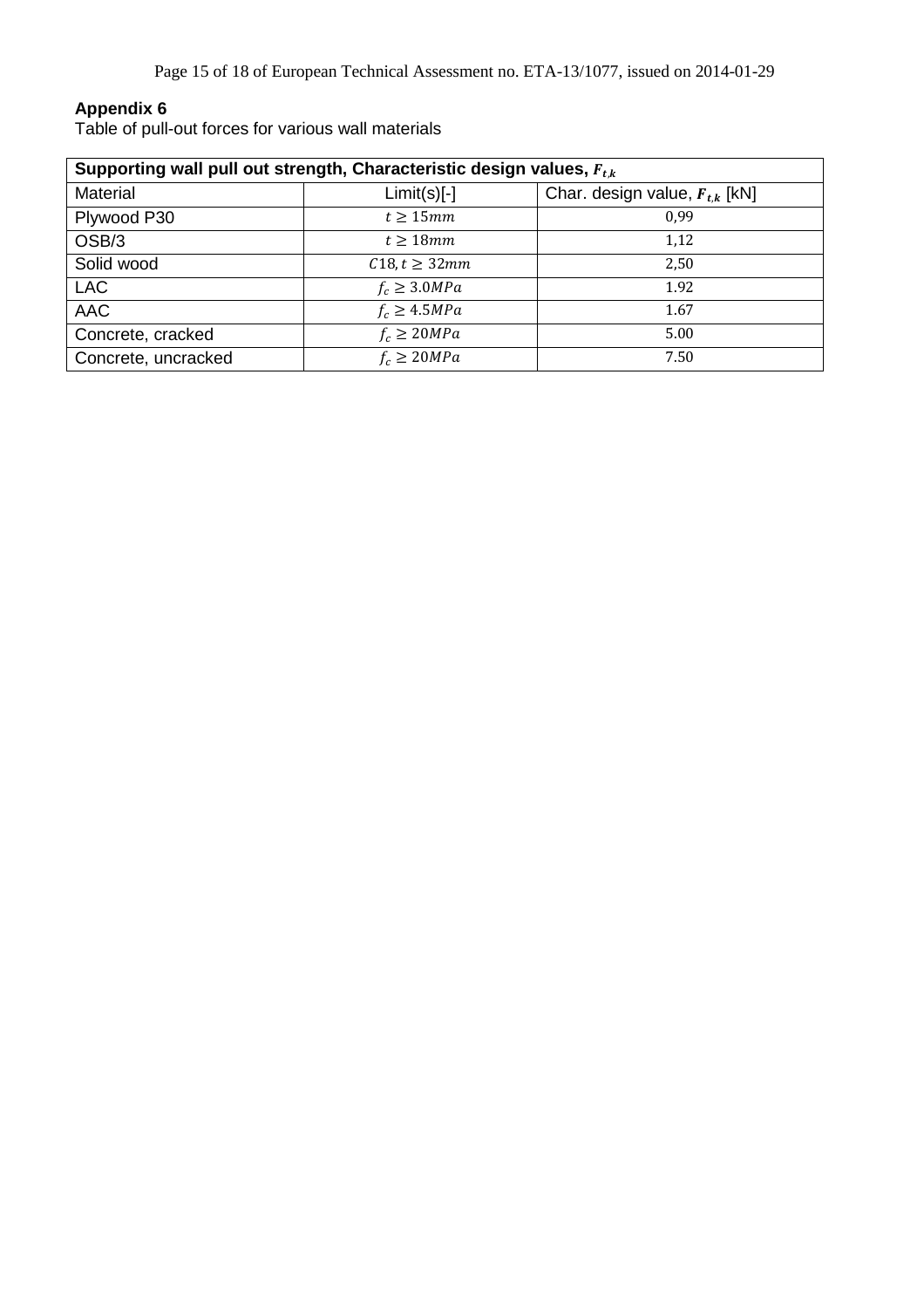Table of pull-out forces for various wall materials

| Supporting wall pull out strength, Characteristic design values, $F_{t,k}$ |                    |                                    |  |  |  |
|----------------------------------------------------------------------------|--------------------|------------------------------------|--|--|--|
| <b>Material</b>                                                            | $Limit(s)[-]$      | Char. design value, $F_{t,k}$ [kN] |  |  |  |
| Plywood P30                                                                | $t > 15$ mm        | 0.99                               |  |  |  |
| OSB/3                                                                      | $t > 18$ mm        | 1,12                               |  |  |  |
| Solid wood                                                                 | $C18, t \geq 32mm$ | 2,50                               |  |  |  |
| <b>LAC</b>                                                                 | $f_c \geq 3.0 MPa$ | 1.92                               |  |  |  |
| <b>AAC</b>                                                                 | $f_c \geq 4.5 MPa$ | 1.67                               |  |  |  |
| Concrete, cracked                                                          | $f_c \geq 20 MPa$  | 5.00                               |  |  |  |
| Concrete, uncracked                                                        | $f_c \geq 20 MPa$  | 7.50                               |  |  |  |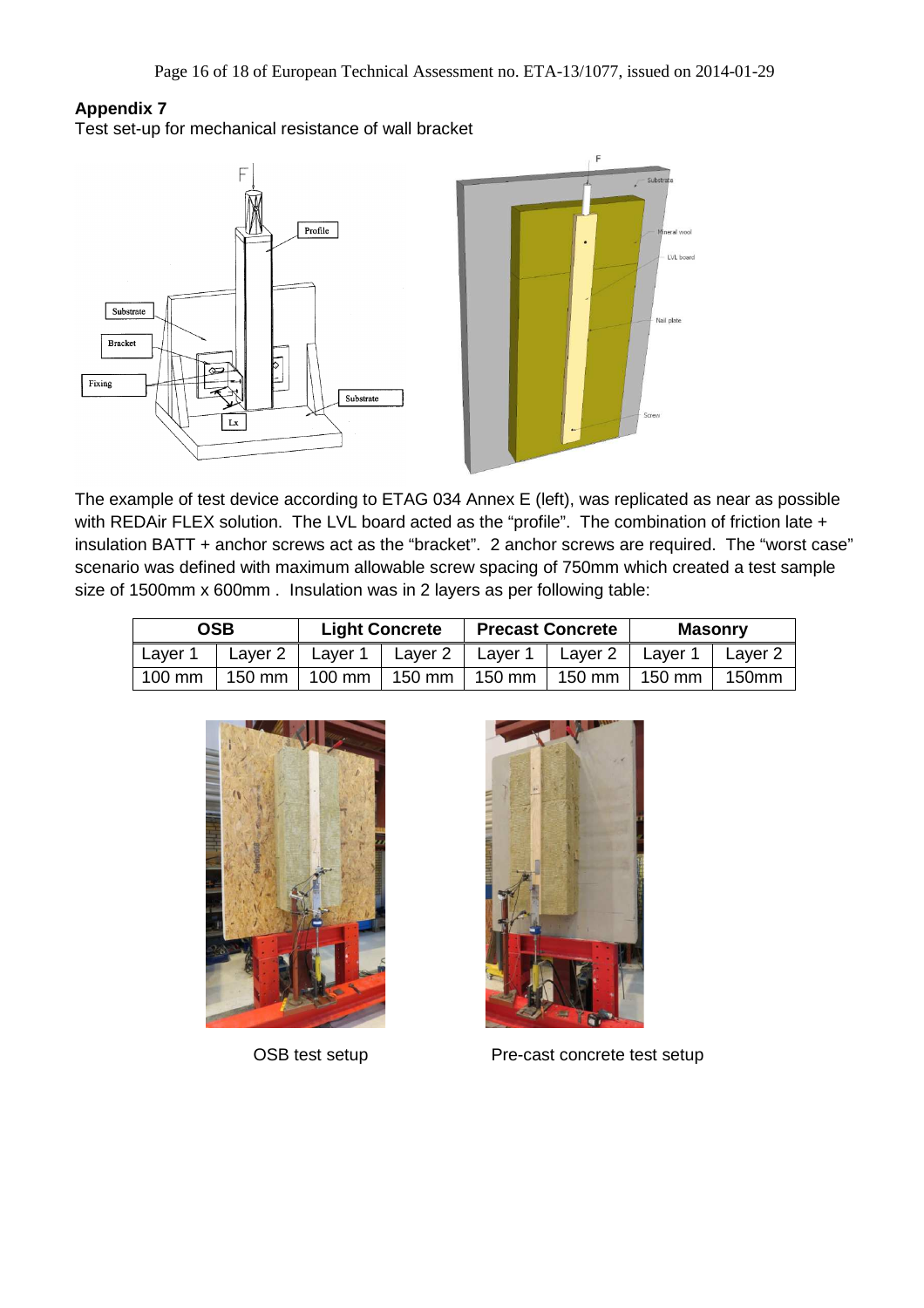Test set-up for mechanical resistance of wall bracket



The example of test device according to ETAG 034 Annex E (left), was replicated as near as possible with REDAir FLEX solution. The LVL board acted as the "profile". The combination of friction late + insulation BATT + anchor screws act as the "bracket". 2 anchor screws are required. The "worst case" scenario was defined with maximum allowable screw spacing of 750mm which created a test sample size of 1500mm x 600mm . Insulation was in 2 layers as per following table:

| <b>OSB</b><br><b>Light Concrete</b>                                           |  | <b>Precast Concrete</b> |  | <b>Masonry</b> |  |  |
|-------------------------------------------------------------------------------|--|-------------------------|--|----------------|--|--|
| Layer 1   Layer 2   Layer 1   Layer 2   Layer 1   Layer 2   Layer 1   Layer 2 |  |                         |  |                |  |  |
| 100 mm   150 mm   100 mm   150 mm   150 mm   150 mm   150 mm   150mm          |  |                         |  |                |  |  |





OSB test setup Pre-cast concrete test setup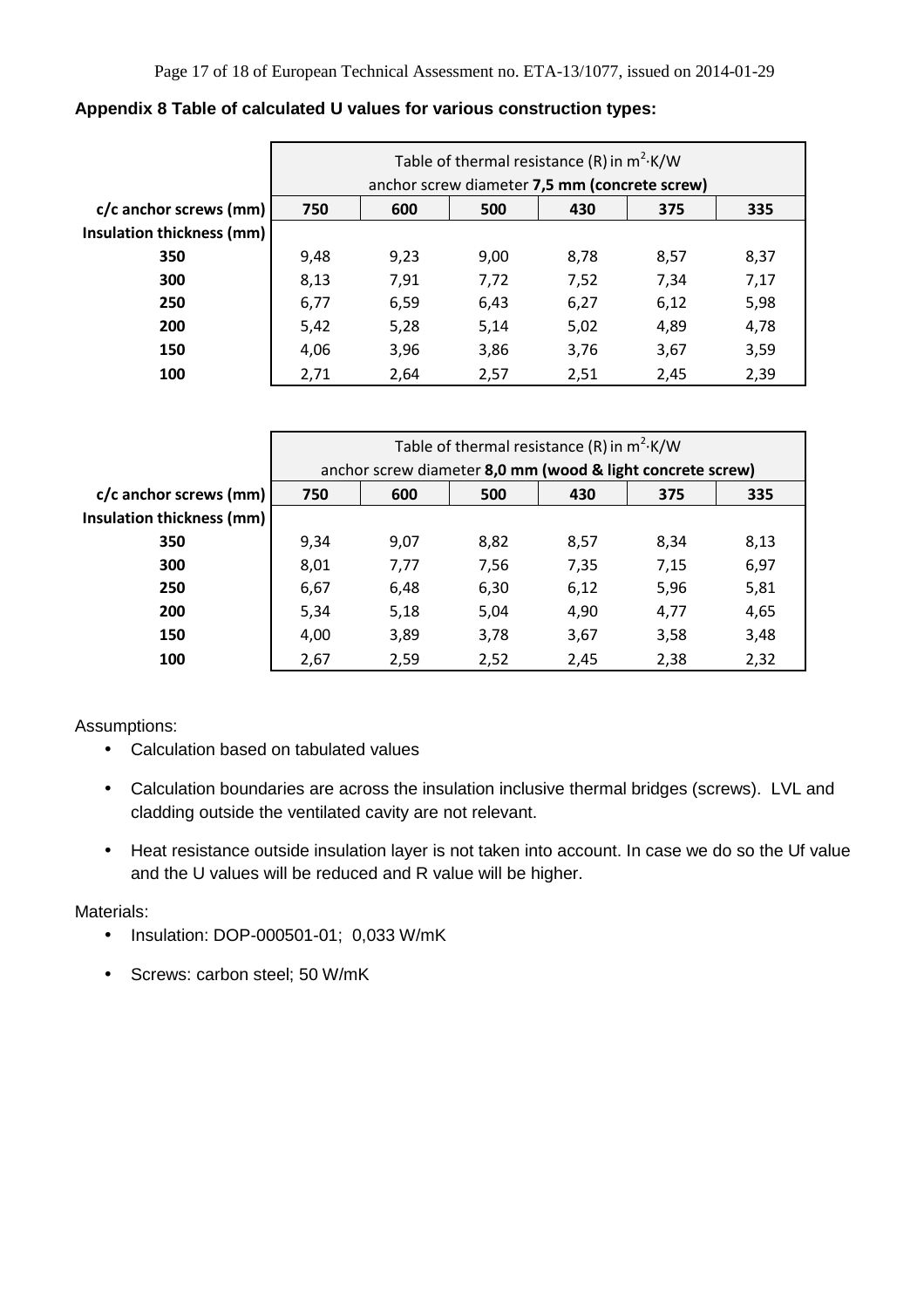|                           | Table of thermal resistance (R) in $m^2$ K/W<br>anchor screw diameter 7,5 mm (concrete screw) |      |      |      |      |      |
|---------------------------|-----------------------------------------------------------------------------------------------|------|------|------|------|------|
| c/c anchor screws (mm)    | 750                                                                                           | 600  | 500  | 430  | 375  | 335  |
| Insulation thickness (mm) |                                                                                               |      |      |      |      |      |
| 350                       | 9,48                                                                                          | 9,23 | 9,00 | 8,78 | 8,57 | 8,37 |
| 300                       | 8,13                                                                                          | 7,91 | 7,72 | 7,52 | 7,34 | 7,17 |
| 250                       | 6,77                                                                                          | 6,59 | 6,43 | 6,27 | 6,12 | 5,98 |
| 200                       | 5,42                                                                                          | 5,28 | 5,14 | 5,02 | 4,89 | 4,78 |
| 150                       | 4,06                                                                                          | 3,96 | 3,86 | 3,76 | 3,67 | 3,59 |
| 100                       | 2,71                                                                                          | 2,64 | 2,57 | 2,51 | 2,45 | 2,39 |

# **Appendix 8 Table of calculated U values for various construction types:**

|                                  | Table of thermal resistance (R) in $m^2$ K/W               |      |      |      |      |      |
|----------------------------------|------------------------------------------------------------|------|------|------|------|------|
|                                  | anchor screw diameter 8,0 mm (wood & light concrete screw) |      |      |      |      |      |
| c/c anchor screws (mm)           | 750                                                        | 600  | 500  | 430  | 375  | 335  |
| <b>Insulation thickness (mm)</b> |                                                            |      |      |      |      |      |
| 350                              | 9,34                                                       | 9,07 | 8,82 | 8,57 | 8,34 | 8,13 |
| 300                              | 8,01                                                       | 7,77 | 7,56 | 7,35 | 7,15 | 6,97 |
| 250                              | 6,67                                                       | 6,48 | 6,30 | 6,12 | 5,96 | 5,81 |
| 200                              | 5,34                                                       | 5,18 | 5,04 | 4,90 | 4,77 | 4,65 |
| 150                              | 4,00                                                       | 3,89 | 3,78 | 3,67 | 3,58 | 3,48 |
| 100                              | 2,67                                                       | 2,59 | 2,52 | 2,45 | 2,38 | 2,32 |

Assumptions:

- Calculation based on tabulated values
- Calculation boundaries are across the insulation inclusive thermal bridges (screws). LVL and cladding outside the ventilated cavity are not relevant.
- Heat resistance outside insulation layer is not taken into account. In case we do so the Uf value and the U values will be reduced and R value will be higher.

Materials<sup>.</sup>

- Insulation: DOP-000501-01; 0,033 W/mK
- Screws: carbon steel; 50 W/mK